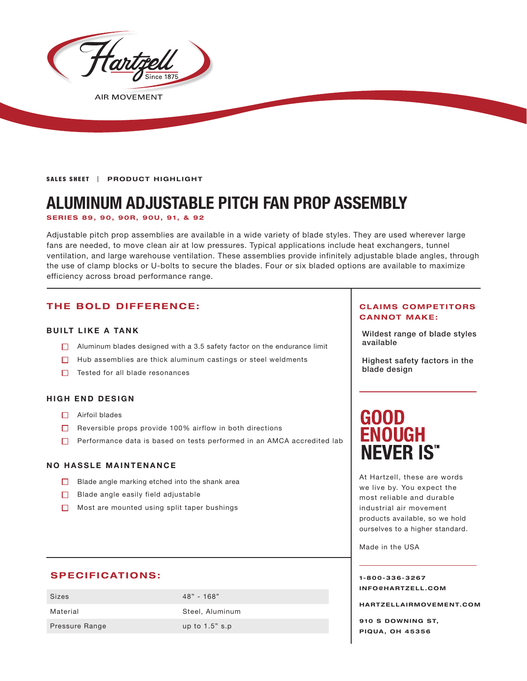

**AIR MOVEMENT** 

SALES SHEET | PRODUCT HIGHLIGHT

# **ALUMINUM ADJUSTABLE PITCH FAN PROP ASSEMBLY**

**SERIES 89, 90, 90R, 90U, 91, & 92**

Adjustable pitch prop assemblies are available in a wide variety of blade styles. They are used wherever large fans are needed, to move clean air at low pressures. Typical applications include heat exchangers, tunnel ventilation, and large warehouse ventilation. These assemblies provide infinitely adjustable blade angles, through the use of clamp blocks or U-bolts to secure the blades. Four or six bladed options are available to maximize efficiency across broad performance range.

# **THE BOLD DIFFERENCE:**

### **BUILT LIKE A TANK**

- Aluminum blades designed with a 3.5 safety factor on the endurance limit  $\Box$  available
- $\Box$  Hub assemblies are thick aluminum castings or steel weldments
- $\Box$  Tested for all blade resonances

### **HIGH END DESIGN**

- □ Airfoil blades
- $\Box$  Reversible props provide 100% airflow in both directions
- $\Box$  Performance data is based on tests performed in an AMCA accredited lab

### **NO HASSLE MAINTENANCE**

- $\Box$  Blade angle marking etched into the shank area
- $\Box$  Blade angle easily field adjustable
- $\Box$  Most are mounted using split taper bushings

## **SPECIFICATIONS:**

| Sizes                 | $48" - 168"$      |
|-----------------------|-------------------|
| Material              | Steel, Aluminum   |
| <b>Pressure Range</b> | up to $1.5$ " s.p |

### **CLAIMS COMPETITORS CANNOT MAKE:**

Wildest range of blade styles

Highest safety factors in the blade design

# **GOOD ENOUGH NEVER IS"**

At Hartzell, these are words we live by. You expect the most reliable and durable industrial air movement products available, so we hold ourselves to a higher standard.

Made in the USA

**1-800-336-3267 I N F O @ H A R T Z E L L . C OM** 

**HARTZELLA IRMOVEMENT.COM**

**910 S DOWNING ST, PIQUA, OH 45356**